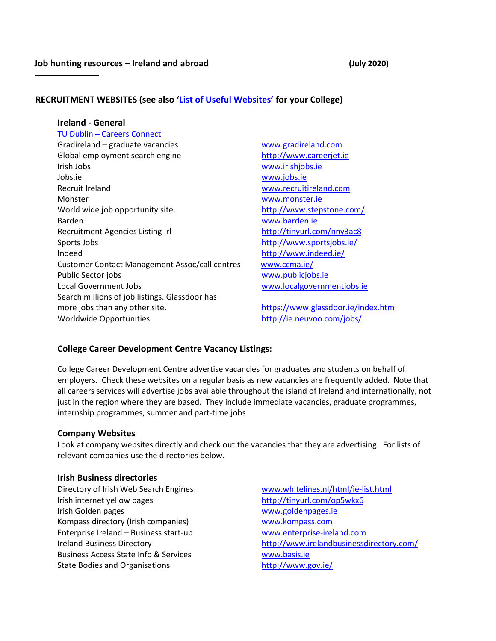# **RECRUITMENT WEBSITES (see also ['List of Useful Websites'](http://www.dit.ie/careers/studentsgraduates/resources/) for your College)**

#### **Ireland - General**

TU Dublin – Careers Connect Gradireland – graduate vacancies [www.gradireland.com](http://www.gradireland.com/) Global employment search engine [http://www.careerjet.ie](http://www.careerjet.ie/) Irish Jobs [www.irishjobs.ie](http://www.irishjobs.ie/)  Jobs.ie [www.jobs.ie](https://www.jobs.ie/) Recruit Ireland [www.recruitireland.com](http://www.recruitireland.com/) Monster [www.monster.ie](http://www.monster.ie/) World wide job opportunity site. <http://www.stepstone.com/> Barden [www.barden.ie](http://www.barden.ie/) Recruitment Agencies Listing Irl <http://tinyurl.com/nny3ac8> Sports Jobs<http://www.sportsjobs.ie/> Indeed <http://www.indeed.ie/> Customer Contact Management Assoc/call centres [www.ccma.ie/](http://www.ccma.ie/) Public Sector jobs [www.publicjobs.ie](http://www.publicjobs.ie/) Local Government Jobs [www.localgovernmentjobs.ie](http://www.localgovernmentjobs.ie/) Search millions of job listings. Glassdoor has more jobs than any other site. <https://www.glassdoor.ie/index.htm> Worldwide Opportunities <http://ie.neuvoo.com/jobs/>

## **College Career Development Centre Vacancy Listings:**

College Career Development Centre advertise vacancies for graduates and students on behalf of employers. Check these websites on a regular basis as new vacancies are frequently added. Note that all careers services will advertise jobs available throughout the island of Ireland and internationally, not just in the region where they are based. They include immediate vacancies, graduate programmes, internship programmes, summer and part-time jobs

## **Company Websites**

Look at company websites directly and check out the vacancies that they are advertising. For lists of relevant companies use the directories below.

#### **Irish Business directories**

Directory of Irish Web Search Engines [www.whitelines.nl/html/ie-list.html](http://www.whitelines.nl/html/ie-list.html) Irish internet yellow pages <http://tinyurl.com/op5wkx6> Irish Golden pages [www.goldenpages.ie](http://www.goldenpages.ie/) Kompass directory (Irish companies) [www.kompass.com](http://www.kompass.com/) Enterprise Ireland – Business start-up [www.enterprise-ireland.com](http://www.enterprise-ireland.com/) Business Access State Info & Services [www.basis.ie](http://www.basis.ie/) State Bodies and Organisations <http://www.gov.ie/>

Ireland Business Directory <http://www.irelandbusinessdirectory.com/>